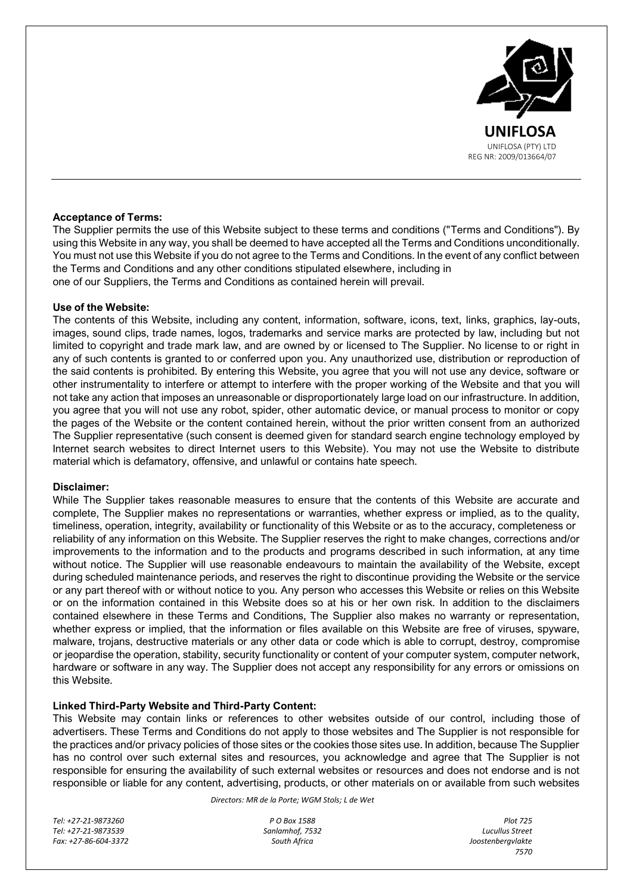

# **Acceptance of Terms:**

The Supplier permits the use of this Website subject to these terms and conditions ("Terms and Conditions"). By using this Website in any way, you shall be deemed to have accepted all the Terms and Conditions unconditionally. You must not use this Website if you do not agree to the Terms and Conditions. In the event of any conflict between the Terms and Conditions and any other conditions stipulated elsewhere, including in one of our Suppliers, the Terms and Conditions as contained herein will prevail.

# **Use of the Website:**

The contents of this Website, including any content, information, software, icons, text, links, graphics, lay-outs, images, sound clips, trade names, logos, trademarks and service marks are protected by law, including but not limited to copyright and trade mark law, and are owned by or licensed to The Supplier. No license to or right in any of such contents is granted to or conferred upon you. Any unauthorized use, distribution or reproduction of the said contents is prohibited. By entering this Website, you agree that you will not use any device, software or other instrumentality to interfere or attempt to interfere with the proper working of the Website and that you will not take any action that imposes an unreasonable or disproportionately large load on our infrastructure. In addition, you agree that you will not use any robot, spider, other automatic device, or manual process to monitor or copy the pages of the Website or the content contained herein, without the prior written consent from an authorized The Supplier representative (such consent is deemed given for standard search engine technology employed by Internet search websites to direct Internet users to this Website). You may not use the Website to distribute material which is defamatory, offensive, and unlawful or contains hate speech.

# **Disclaimer:**

While The Supplier takes reasonable measures to ensure that the contents of this Website are accurate and complete, The Supplier makes no representations or warranties, whether express or implied, as to the quality, timeliness, operation, integrity, availability or functionality of this Website or as to the accuracy, completeness or reliability of any information on this Website. The Supplier reserves the right to make changes, corrections and/or improvements to the information and to the products and programs described in such information, at any time without notice. The Supplier will use reasonable endeavours to maintain the availability of the Website, except during scheduled maintenance periods, and reserves the right to discontinue providing the Website or the service or any part thereof with or without notice to you. Any person who accesses this Website or relies on this Website or on the information contained in this Website does so at his or her own risk. In addition to the disclaimers contained elsewhere in these Terms and Conditions, The Supplier also makes no warranty or representation, whether express or implied, that the information or files available on this Website are free of viruses, spyware, malware, trojans, destructive materials or any other data or code which is able to corrupt, destroy, compromise or jeopardise the operation, stability, security functionality or content of your computer system, computer network, hardware or software in any way. The Supplier does not accept any responsibility for any errors or omissions on this Website.

# **Linked Third-Party Website and Third-Party Content:**

This Website may contain links or references to other websites outside of our control, including those of advertisers. These Terms and Conditions do not apply to those websites and The Supplier is not responsible for the practices and/or privacy policies of those sites or the cookies those sites use. In addition, because The Supplier has no control over such external sites and resources, you acknowledge and agree that The Supplier is not responsible for ensuring the availability of such external websites or resources and does not endorse and is not responsible or liable for any content, advertising, products, or other materials on or available from such websites

*Directors: MR de la Porte; WGM Stols; L de Wet*

*Tel: +27-21-9873260 P O Box 1588 Plot 725 Tel: +27-21-9873539 Sanlamhof, 7532 Lucullus Street Fax: +27-86-604-3372 South Africa Joostenbergvlakte*

*7570*